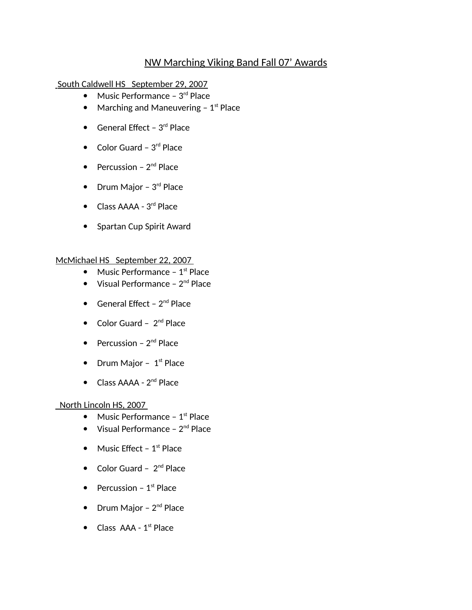# NW Marching Viking Band Fall 07' Awards

South Caldwell HS September 29, 2007

- $\bullet$  Music Performance 3<sup>rd</sup> Place
- Marching and Maneuvering  $-1$ <sup>st</sup> Place
- General Effect  $3<sup>rd</sup>$  Place
- $\bullet$  Color Guard 3<sup>rd</sup> Place
- Percussion  $2^{nd}$  Place
- Drum Major  $3<sup>rd</sup>$  Place
- Class AAAA 3<sup>rd</sup> Place
- Spartan Cup Spirit Award

#### McMichael HS September 22, 2007

- Music Performance  $1<sup>st</sup>$  Place
- $\bullet$  Visual Performance  $2^{nd}$  Place
- General Effect  $2^{nd}$  Place
- $\bullet$  Color Guard  $2^{nd}$  Place
- Percussion  $2^{nd}$  Place
- Drum Major  $1<sup>st</sup>$  Place
- $\bullet$  Class AAAA  $2^{nd}$  Place

### North Lincoln HS, 2007

- Music Performance  $1<sup>st</sup>$  Place
- $\bullet$  Visual Performance  $2^{nd}$  Place
- $\bullet$  Music Effect 1<sup>st</sup> Place
- $\bullet$  Color Guard  $2^{nd}$  Place
- Percussion  $1<sup>st</sup>$  Place
- Drum Major  $2<sup>nd</sup>$  Place
- $\bullet$  Class AAA 1<sup>st</sup> Place